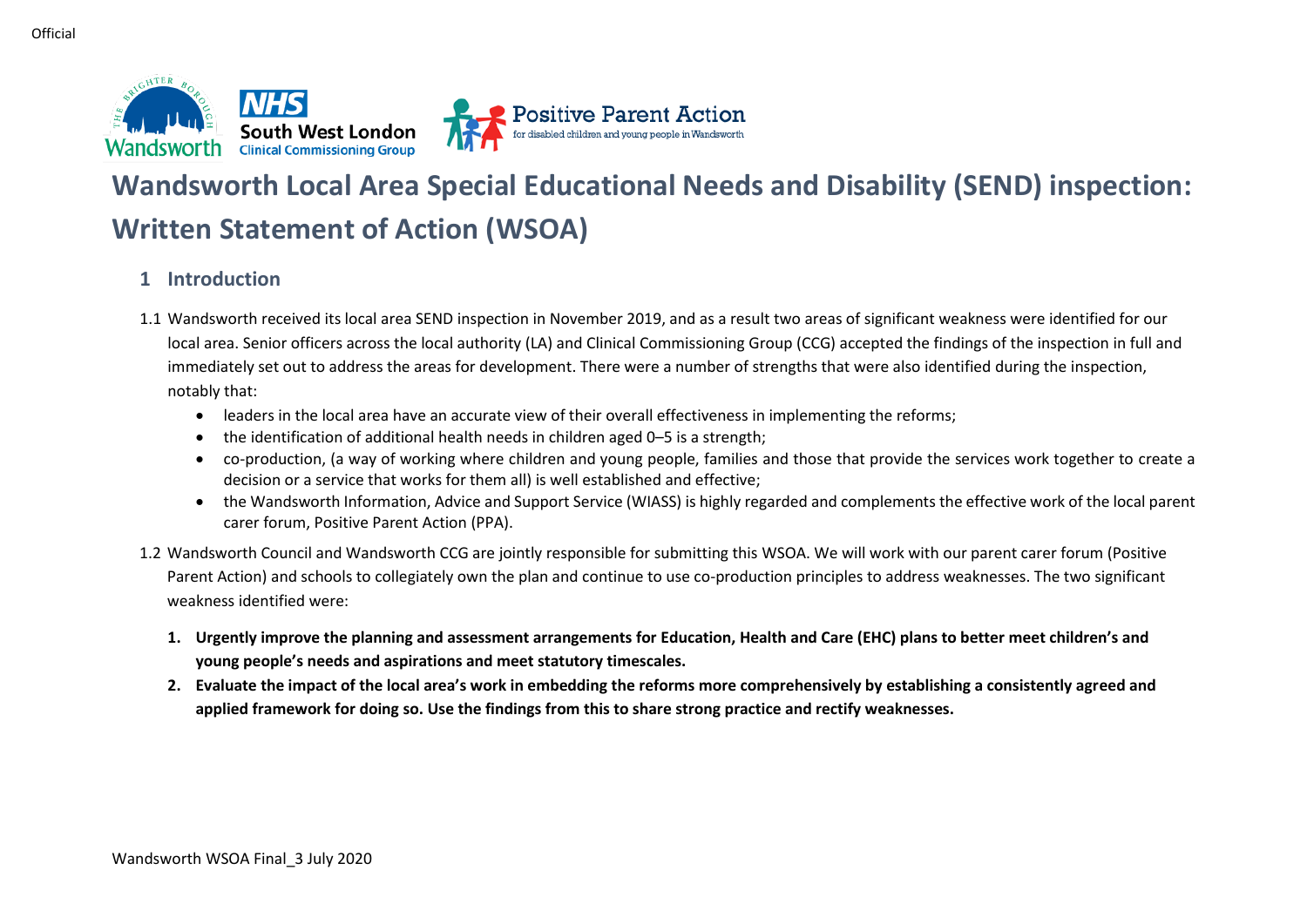

# **Wandsworth Local Area Special Educational Needs and Disability (SEND) inspection: Written Statement of Action (WSOA)**

**Positive Parent Action**<br>for disabled children and young people in Wandsworth

# **1 Introduction**

- 1.1 Wandsworth received its local area SEND inspection in November 2019, and as a result two areas of significant weakness were identified for our local area. Senior officers across the local authority (LA) and Clinical Commissioning Group (CCG) accepted the findings of the inspection in full and immediately set out to address the areas for development. There were a number of strengths that were also identified during the inspection, notably that:
	- leaders in the local area have an accurate view of their overall effectiveness in implementing the reforms;
	- the identification of additional health needs in children aged 0–5 is a strength;
	- co-production, (a way of working where children and young people, families and those that provide the services work together to create a decision or a service that works for them all) is well established and effective;
	- the Wandsworth Information, Advice and Support Service (WIASS) is highly regarded and complements the effective work of the local parent carer forum, Positive Parent Action (PPA).
- 1.2 Wandsworth Council and Wandsworth CCG are jointly responsible for submitting this WSOA. We will work with our parent carer forum (Positive Parent Action) and schools to collegiately own the plan and continue to use co-production principles to address weaknesses. The two significant weakness identified were:
	- **1. Urgently improve the planning and assessment arrangements for Education, Health and Care (EHC) plans to better meet children's and young people's needs and aspirations and meet statutory timescales.**
	- **2. Evaluate the impact of the local area's work in embedding the reforms more comprehensively by establishing a consistently agreed and applied framework for doing so. Use the findings from this to share strong practice and rectify weaknesses.**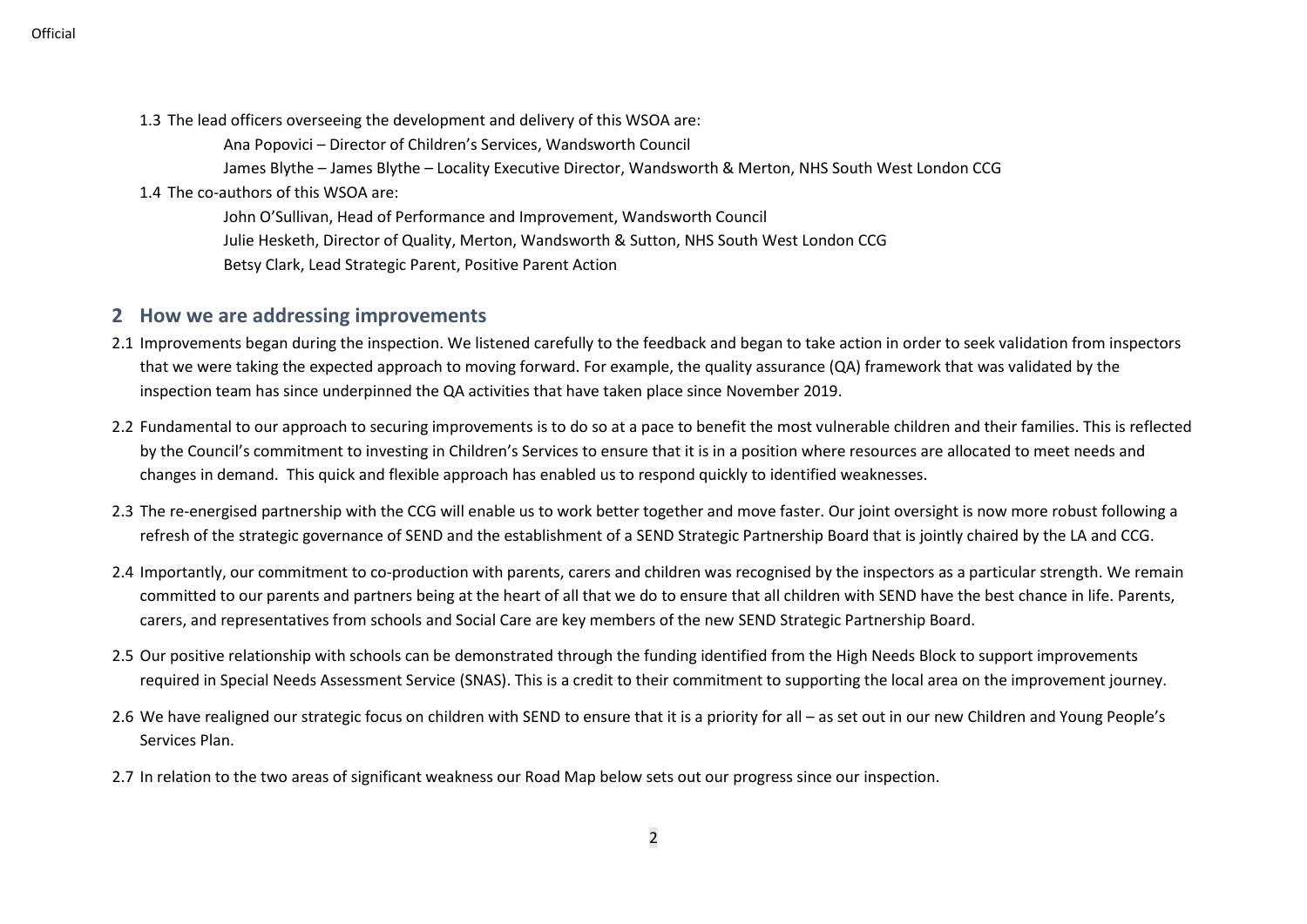- 1.3 The lead officers overseeing the development and delivery of this WSOA are:
	- Ana Popovici Director of Children's Services, Wandsworth Council
	- James Blythe James Blythe Locality Executive Director, Wandsworth & Merton, NHS South West London CCG

#### 1.4 The co-authors of this WSOA are:

John O'Sullivan, Head of Performance and Improvement, Wandsworth Council Julie Hesketh, Director of Quality, Merton, Wandsworth & Sutton, NHS South West London CCG Betsy Clark, Lead Strategic Parent, Positive Parent Action

#### **2 How we are addressing improvements**

- 2.1 Improvements began during the inspection. We listened carefully to the feedback and began to take action in order to seek validation from inspectors that we were taking the expected approach to moving forward. For example, the quality assurance (QA) framework that was validated by the inspection team has since underpinned the QA activities that have taken place since November 2019.
- 2.2 Fundamental to our approach to securing improvements is to do so at a pace to benefit the most vulnerable children and their families. This is reflected by the Council's commitment to investing in Children's Services to ensure that it is in a position where resources are allocated to meet needs and changes in demand. This quick and flexible approach has enabled us to respond quickly to identified weaknesses.
- 2.3 The re-energised partnership with the CCG will enable us to work better together and move faster. Our joint oversight is now more robust following a refresh of the strategic governance of SEND and the establishment of a SEND Strategic Partnership Board that is jointly chaired by the LA and CCG.
- 2.4 Importantly, our commitment to co-production with parents, carers and children was recognised by the inspectors as a particular strength. We remain committed to our parents and partners being at the heart of all that we do to ensure that all children with SEND have the best chance in life. Parents, carers, and representatives from schools and Social Care are key members of the new SEND Strategic Partnership Board.
- 2.5 Our positive relationship with schools can be demonstrated through the funding identified from the High Needs Block to support improvements required in Special Needs Assessment Service (SNAS). This is a credit to their commitment to supporting the local area on the improvement journey.
- 2.6 We have realigned our strategic focus on children with SEND to ensure that it is a priority for all as set out in our new Children and Young People's Services Plan.
- 2.7 In relation to the two areas of significant weakness our Road Map below sets out our progress since our inspection.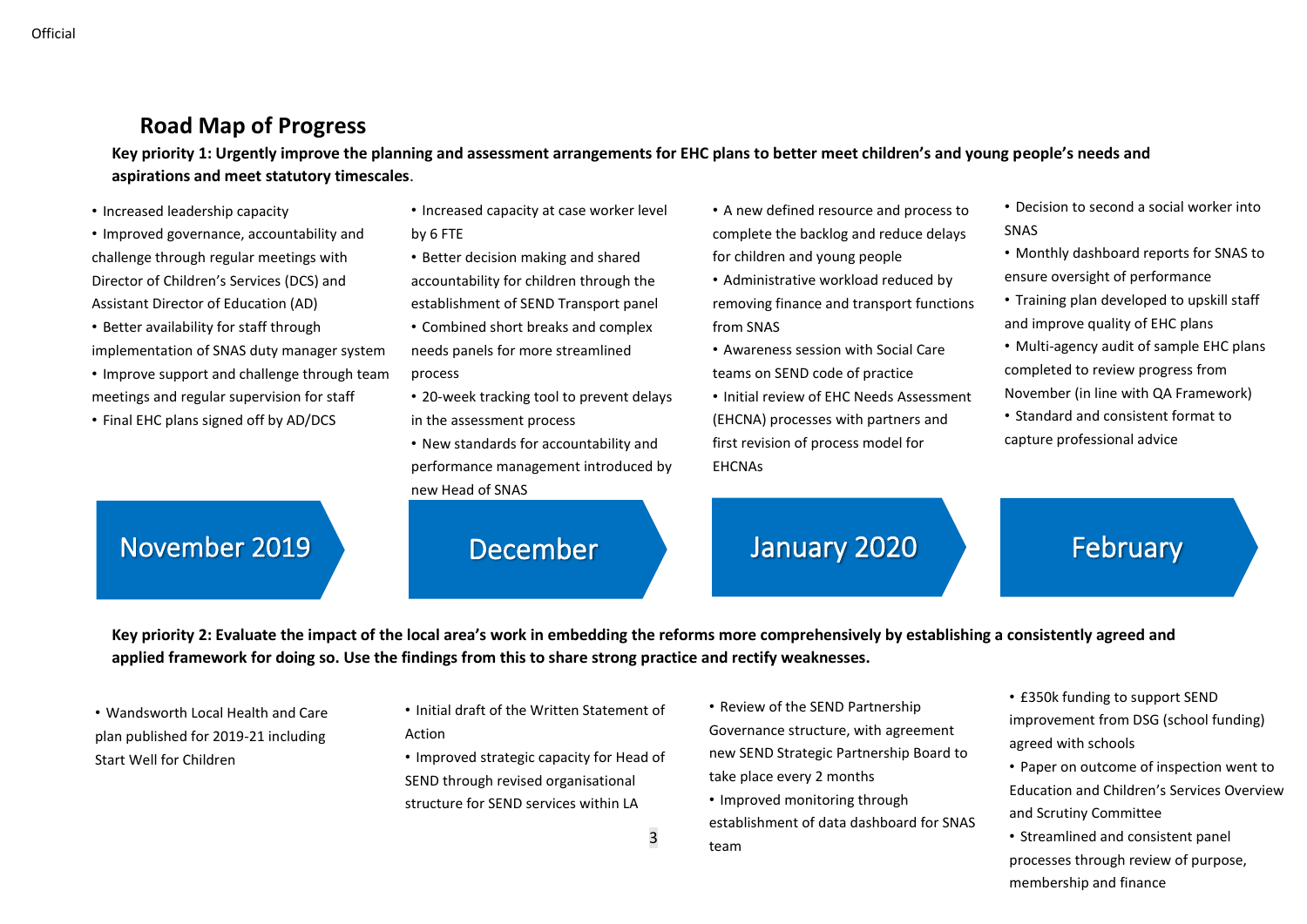# **Road Map of Progress**

**Key priority 1: Urgently improve the planning and assessment arrangements for EHC plans to better meet children's and young people's needs and aspirations and meet statutory timescales**.

- Increased leadership capacity
- Improved governance, accountability and challenge through regular meetings with Director of Children's Services (DCS) and Assistant Director of Education (AD)
- Better availability for staff through implementation of SNAS duty manager system • Improve support and challenge through team
- meetings and regular supervision for staff
- Final EHC plans signed off by AD/DCS
- Increased capacity at case worker level
- by 6 FTE
- Better decision making and shared accountability for children through the establishment of SEND Transport panel
- Combined short breaks and complex needs panels for more streamlined process
- 20-week tracking tool to prevent delays in the assessment process
- New standards for accountability and performance management introduced by new Head of SNAS
	- December January 2020
- A new defined resource and process to complete the backlog and reduce delays for children and young people
- Administrative workload reduced by removing finance and transport functions from SNAS
- Awareness session with Social Care teams on SEND code of practice
- Initial review of EHC Needs Assessment (EHCNA) processes with partners and first revision of process model for **FHCNAs**
- Decision to second a social worker into SNAS
- Monthly dashboard reports for SNAS to ensure oversight of performance
- Training plan developed to upskill staff and improve quality of EHC plans
- Multi-agency audit of sample EHC plans completed to review progress from November (in line with QA Framework)
- Standard and consistent format to capture professional advice

# November 2019

February

**Key priority 2: Evaluate the impact of the local area's work in embedding the reforms more comprehensively by establishing a consistently agreed and applied framework for doing so. Use the findings from this to share strong practice and rectify weaknesses.**

3

• Wandsworth Local Health and Care plan published for 2019-21 including Start Well for Children

- Initial draft of the Written Statement of Action
- Improved strategic capacity for Head of SEND through revised organisational structure for SEND services within LA
- Review of the SEND Partnership Governance structure, with agreement new SEND Strategic Partnership Board to take place every 2 months
- Improved monitoring through establishment of data dashboard for SNAS team
- £350k funding to support SEND improvement from DSG (school funding) agreed with schools
- Paper on outcome of inspection went to Education and Children's Services Overview and Scrutiny Committee
- Streamlined and consistent panel processes through review of purpose, membership and finance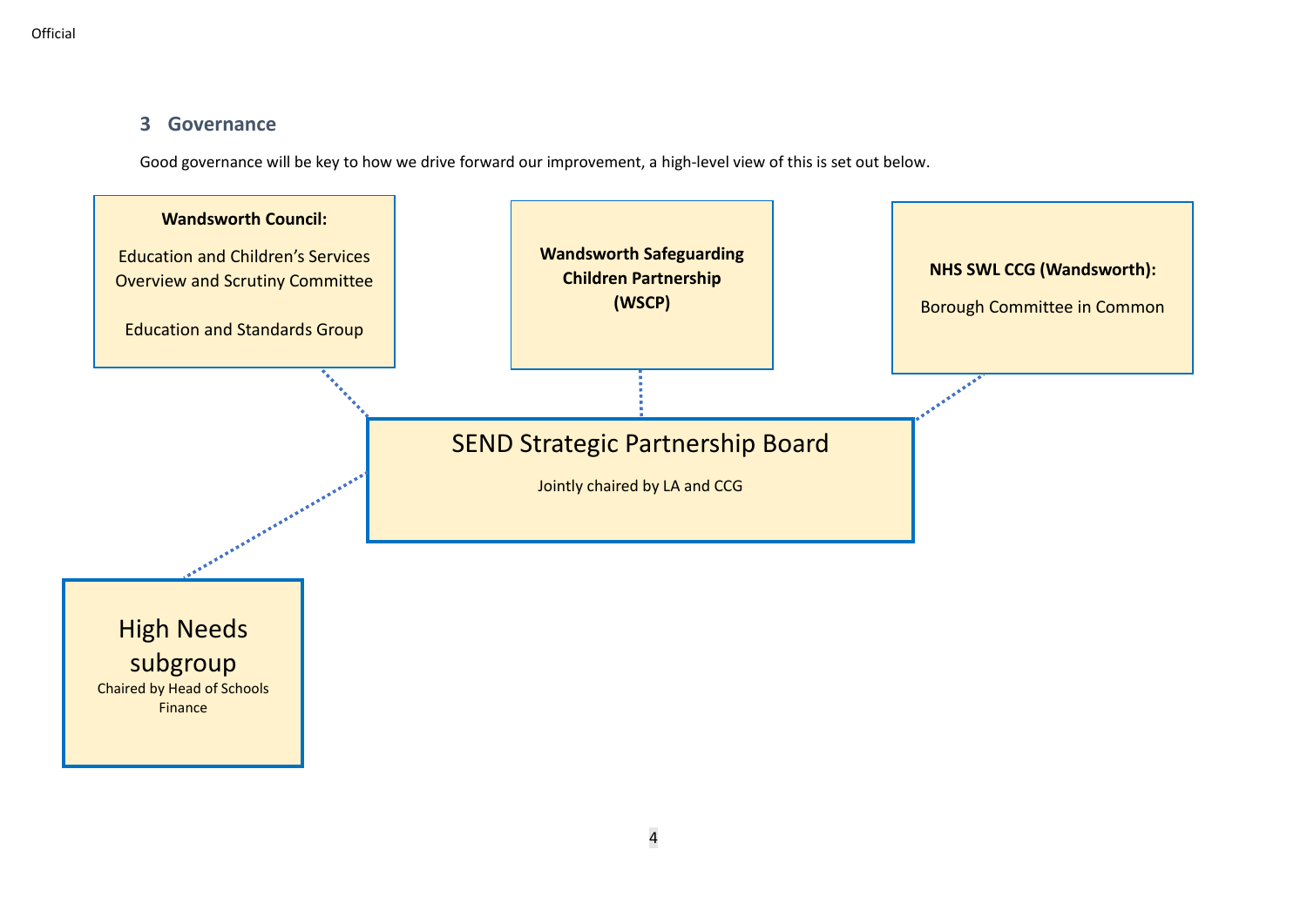## **3 Governance**

Good governance will be key to how we drive forward our improvement, a high-level view of this is set out below.

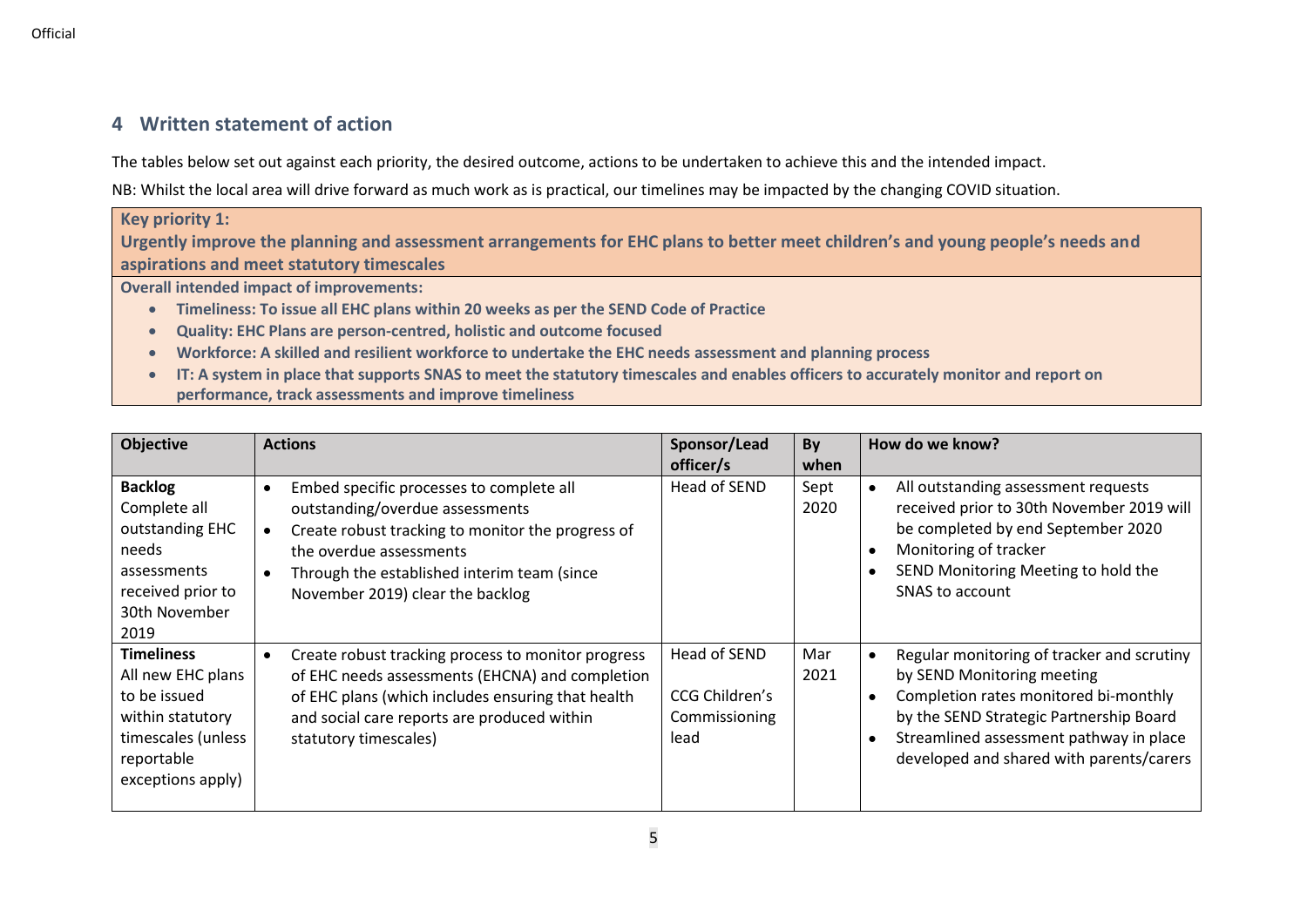# **4 Written statement of action**

The tables below set out against each priority, the desired outcome, actions to be undertaken to achieve this and the intended impact.

NB: Whilst the local area will drive forward as much work as is practical, our timelines may be impacted by the changing COVID situation.

#### **Key priority 1: Urgently improve the planning and assessment arrangements for EHC plans to better meet children's and young people's needs and aspirations and meet statutory timescales**

**Overall intended impact of improvements:**

- **Timeliness: To issue all EHC plans within 20 weeks as per the SEND Code of Practice**
- **Quality: EHC Plans are person-centred, holistic and outcome focused**
- **Workforce: A skilled and resilient workforce to undertake the EHC needs assessment and planning process**
- **IT: A system in place that supports SNAS to meet the statutory timescales and enables officers to accurately monitor and report on performance, track assessments and improve timeliness**

| <b>Objective</b>                                                                                                                    | <b>Actions</b>                                                                                                                                                                                                                                                                        | Sponsor/Lead<br>officer/s                               | By<br>when   | How do we know?                                                                                                                                                                                                                                                               |
|-------------------------------------------------------------------------------------------------------------------------------------|---------------------------------------------------------------------------------------------------------------------------------------------------------------------------------------------------------------------------------------------------------------------------------------|---------------------------------------------------------|--------------|-------------------------------------------------------------------------------------------------------------------------------------------------------------------------------------------------------------------------------------------------------------------------------|
| <b>Backlog</b><br>Complete all<br>outstanding EHC<br>needs<br>assessments<br>received prior to<br>30th November<br>2019             | Embed specific processes to complete all<br>$\bullet$<br>outstanding/overdue assessments<br>Create robust tracking to monitor the progress of<br>$\bullet$<br>the overdue assessments<br>Through the established interim team (since<br>$\bullet$<br>November 2019) clear the backlog | Head of SEND                                            | Sept<br>2020 | All outstanding assessment requests<br>$\bullet$<br>received prior to 30th November 2019 will<br>be completed by end September 2020<br>Monitoring of tracker<br>SEND Monitoring Meeting to hold the<br>SNAS to account                                                        |
| <b>Timeliness</b><br>All new EHC plans<br>to be issued<br>within statutory<br>timescales (unless<br>reportable<br>exceptions apply) | Create robust tracking process to monitor progress<br>٠<br>of EHC needs assessments (EHCNA) and completion<br>of EHC plans (which includes ensuring that health<br>and social care reports are produced within<br>statutory timescales)                                               | Head of SEND<br>CCG Children's<br>Commissioning<br>lead | Mar<br>2021  | Regular monitoring of tracker and scrutiny<br>$\bullet$<br>by SEND Monitoring meeting<br>Completion rates monitored bi-monthly<br>$\bullet$<br>by the SEND Strategic Partnership Board<br>Streamlined assessment pathway in place<br>developed and shared with parents/carers |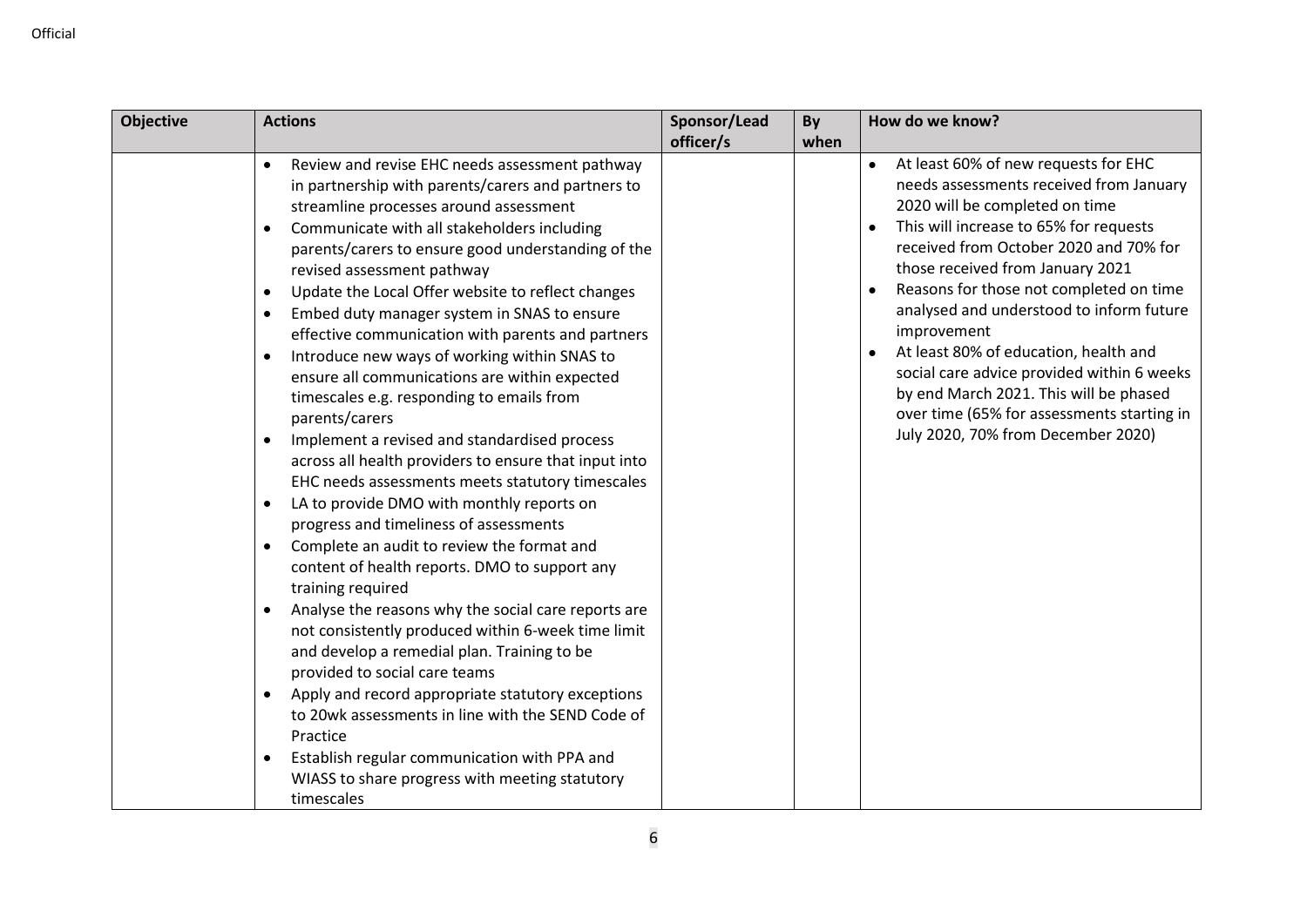| <b>Objective</b> | <b>Actions</b>                                                                                                                                                                                                                                                                                                                                                                                                                                                                                                                                                                                                                                                                                                                                                                                                                                                                                                                                                                                                                                                                                                                                                                                                                                                                                                                                                                                                                                                                                                                                         | Sponsor/Lead | By   | How do we know?                                                                                                                                                                                                                                                                                                                                                                                                                                                                                                                                                                   |
|------------------|--------------------------------------------------------------------------------------------------------------------------------------------------------------------------------------------------------------------------------------------------------------------------------------------------------------------------------------------------------------------------------------------------------------------------------------------------------------------------------------------------------------------------------------------------------------------------------------------------------------------------------------------------------------------------------------------------------------------------------------------------------------------------------------------------------------------------------------------------------------------------------------------------------------------------------------------------------------------------------------------------------------------------------------------------------------------------------------------------------------------------------------------------------------------------------------------------------------------------------------------------------------------------------------------------------------------------------------------------------------------------------------------------------------------------------------------------------------------------------------------------------------------------------------------------------|--------------|------|-----------------------------------------------------------------------------------------------------------------------------------------------------------------------------------------------------------------------------------------------------------------------------------------------------------------------------------------------------------------------------------------------------------------------------------------------------------------------------------------------------------------------------------------------------------------------------------|
|                  |                                                                                                                                                                                                                                                                                                                                                                                                                                                                                                                                                                                                                                                                                                                                                                                                                                                                                                                                                                                                                                                                                                                                                                                                                                                                                                                                                                                                                                                                                                                                                        | officer/s    | when |                                                                                                                                                                                                                                                                                                                                                                                                                                                                                                                                                                                   |
|                  | Review and revise EHC needs assessment pathway<br>$\bullet$<br>in partnership with parents/carers and partners to<br>streamline processes around assessment<br>Communicate with all stakeholders including<br>$\bullet$<br>parents/carers to ensure good understanding of the<br>revised assessment pathway<br>Update the Local Offer website to reflect changes<br>$\bullet$<br>Embed duty manager system in SNAS to ensure<br>$\bullet$<br>effective communication with parents and partners<br>Introduce new ways of working within SNAS to<br>$\bullet$<br>ensure all communications are within expected<br>timescales e.g. responding to emails from<br>parents/carers<br>Implement a revised and standardised process<br>$\bullet$<br>across all health providers to ensure that input into<br>EHC needs assessments meets statutory timescales<br>LA to provide DMO with monthly reports on<br>$\bullet$<br>progress and timeliness of assessments<br>Complete an audit to review the format and<br>$\bullet$<br>content of health reports. DMO to support any<br>training required<br>Analyse the reasons why the social care reports are<br>$\bullet$<br>not consistently produced within 6-week time limit<br>and develop a remedial plan. Training to be<br>provided to social care teams<br>Apply and record appropriate statutory exceptions<br>$\bullet$<br>to 20wk assessments in line with the SEND Code of<br>Practice<br>Establish regular communication with PPA and<br>$\bullet$<br>WIASS to share progress with meeting statutory |              |      | At least 60% of new requests for EHC<br>$\bullet$<br>needs assessments received from January<br>2020 will be completed on time<br>This will increase to 65% for requests<br>received from October 2020 and 70% for<br>those received from January 2021<br>Reasons for those not completed on time<br>analysed and understood to inform future<br>improvement<br>At least 80% of education, health and<br>social care advice provided within 6 weeks<br>by end March 2021. This will be phased<br>over time (65% for assessments starting in<br>July 2020, 70% from December 2020) |
|                  | timescales                                                                                                                                                                                                                                                                                                                                                                                                                                                                                                                                                                                                                                                                                                                                                                                                                                                                                                                                                                                                                                                                                                                                                                                                                                                                                                                                                                                                                                                                                                                                             |              |      |                                                                                                                                                                                                                                                                                                                                                                                                                                                                                                                                                                                   |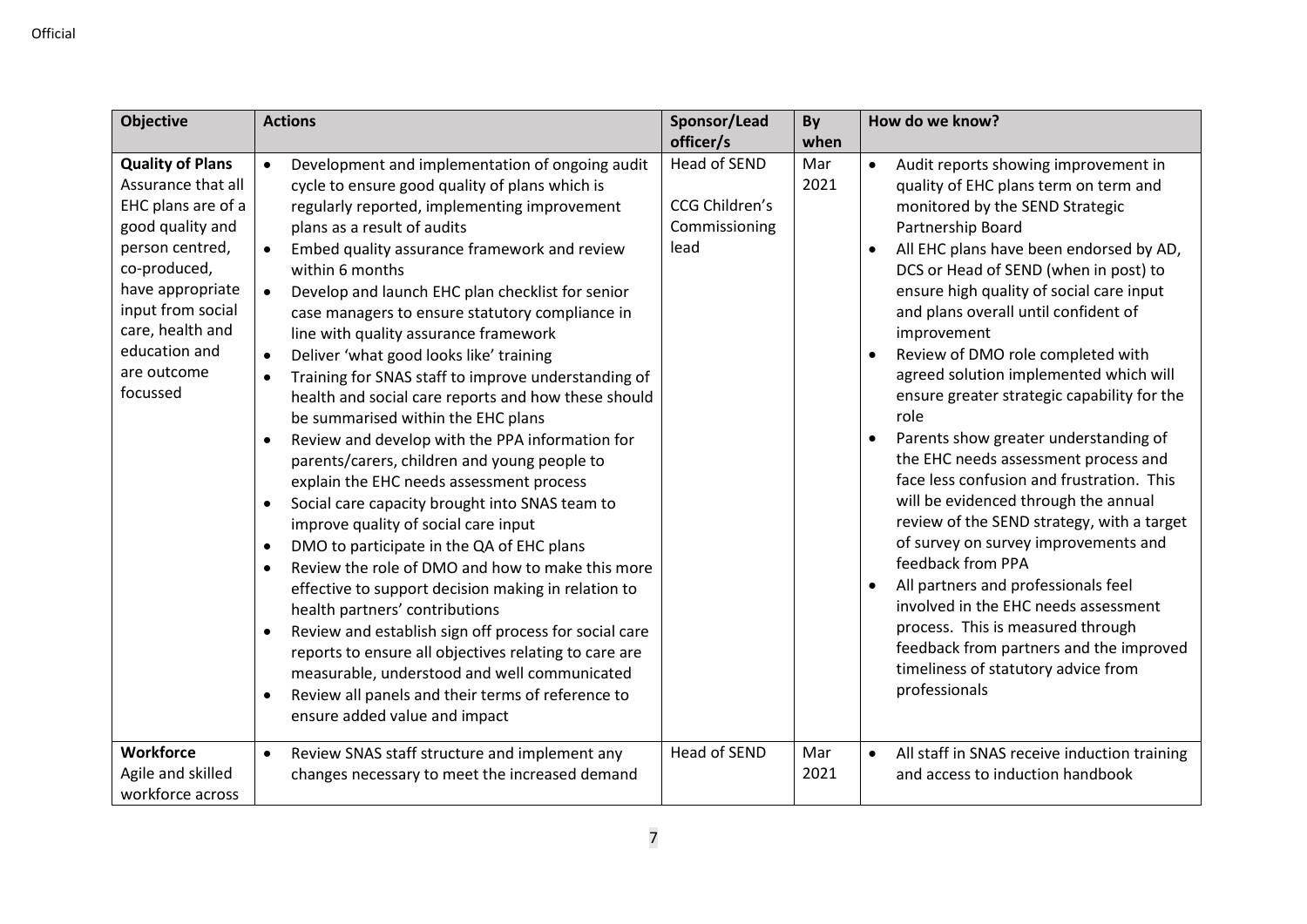| <b>Objective</b>                                                                                                                                                                                                                    |                                                                                                                                             | <b>Actions</b>                                                                                                                                                                                                                                                                                                                                                                                                                                                                                                                                                                                                                                                                                                                                                                                                                                                                                                                                                                                                                                                                                                                                                                                                                                                                                | Sponsor/Lead<br>officer/s                                      | By<br>when  | How do we know?                                                                                                                                                                                                                                                                                                                                                                                                                                                                                                                                                                                                                                                                                                                                                                                                                                                                                                                                                                         |
|-------------------------------------------------------------------------------------------------------------------------------------------------------------------------------------------------------------------------------------|---------------------------------------------------------------------------------------------------------------------------------------------|-----------------------------------------------------------------------------------------------------------------------------------------------------------------------------------------------------------------------------------------------------------------------------------------------------------------------------------------------------------------------------------------------------------------------------------------------------------------------------------------------------------------------------------------------------------------------------------------------------------------------------------------------------------------------------------------------------------------------------------------------------------------------------------------------------------------------------------------------------------------------------------------------------------------------------------------------------------------------------------------------------------------------------------------------------------------------------------------------------------------------------------------------------------------------------------------------------------------------------------------------------------------------------------------------|----------------------------------------------------------------|-------------|-----------------------------------------------------------------------------------------------------------------------------------------------------------------------------------------------------------------------------------------------------------------------------------------------------------------------------------------------------------------------------------------------------------------------------------------------------------------------------------------------------------------------------------------------------------------------------------------------------------------------------------------------------------------------------------------------------------------------------------------------------------------------------------------------------------------------------------------------------------------------------------------------------------------------------------------------------------------------------------------|
| <b>Quality of Plans</b><br>Assurance that all<br>EHC plans are of a<br>good quality and<br>person centred,<br>co-produced,<br>have appropriate<br>input from social<br>care, health and<br>education and<br>are outcome<br>focussed | $\bullet$<br>$\bullet$<br>$\bullet$<br>$\bullet$<br>$\bullet$<br>$\bullet$<br>$\bullet$<br>$\bullet$<br>$\bullet$<br>$\bullet$<br>$\bullet$ | Development and implementation of ongoing audit<br>cycle to ensure good quality of plans which is<br>regularly reported, implementing improvement<br>plans as a result of audits<br>Embed quality assurance framework and review<br>within 6 months<br>Develop and launch EHC plan checklist for senior<br>case managers to ensure statutory compliance in<br>line with quality assurance framework<br>Deliver 'what good looks like' training<br>Training for SNAS staff to improve understanding of<br>health and social care reports and how these should<br>be summarised within the EHC plans<br>Review and develop with the PPA information for<br>parents/carers, children and young people to<br>explain the EHC needs assessment process<br>Social care capacity brought into SNAS team to<br>improve quality of social care input<br>DMO to participate in the QA of EHC plans<br>Review the role of DMO and how to make this more<br>effective to support decision making in relation to<br>health partners' contributions<br>Review and establish sign off process for social care<br>reports to ensure all objectives relating to care are<br>measurable, understood and well communicated<br>Review all panels and their terms of reference to<br>ensure added value and impact | <b>Head of SEND</b><br>CCG Children's<br>Commissioning<br>lead | Mar<br>2021 | Audit reports showing improvement in<br>$\bullet$<br>quality of EHC plans term on term and<br>monitored by the SEND Strategic<br>Partnership Board<br>All EHC plans have been endorsed by AD,<br>DCS or Head of SEND (when in post) to<br>ensure high quality of social care input<br>and plans overall until confident of<br>improvement<br>Review of DMO role completed with<br>agreed solution implemented which will<br>ensure greater strategic capability for the<br>role<br>Parents show greater understanding of<br>the EHC needs assessment process and<br>face less confusion and frustration. This<br>will be evidenced through the annual<br>review of the SEND strategy, with a target<br>of survey on survey improvements and<br>feedback from PPA<br>All partners and professionals feel<br>involved in the EHC needs assessment<br>process. This is measured through<br>feedback from partners and the improved<br>timeliness of statutory advice from<br>professionals |
| <b>Workforce</b><br>Agile and skilled<br>workforce across                                                                                                                                                                           | $\bullet$                                                                                                                                   | Review SNAS staff structure and implement any<br>changes necessary to meet the increased demand                                                                                                                                                                                                                                                                                                                                                                                                                                                                                                                                                                                                                                                                                                                                                                                                                                                                                                                                                                                                                                                                                                                                                                                               | Head of SEND                                                   | Mar<br>2021 | All staff in SNAS receive induction training<br>$\bullet$<br>and access to induction handbook                                                                                                                                                                                                                                                                                                                                                                                                                                                                                                                                                                                                                                                                                                                                                                                                                                                                                           |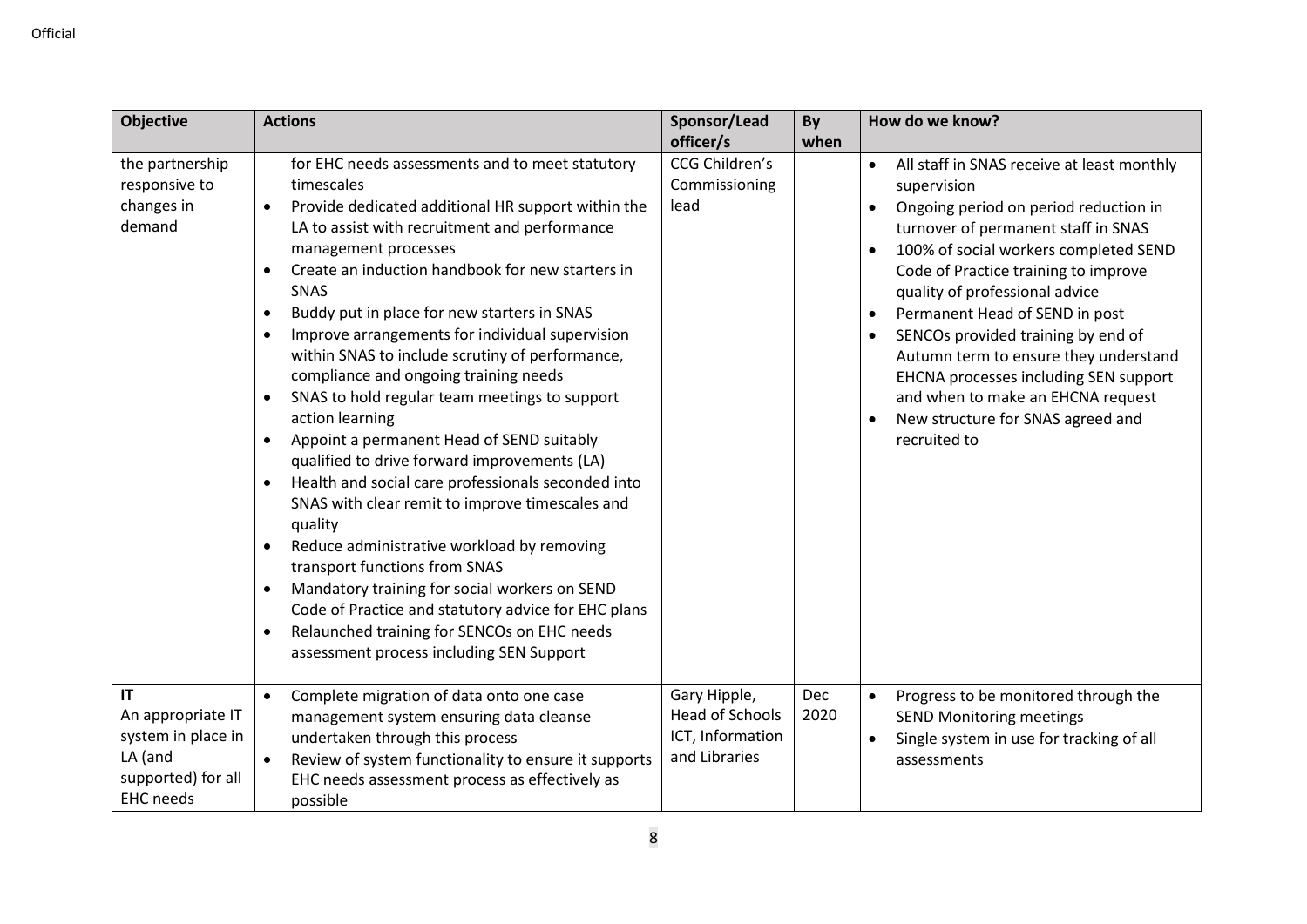| <b>Objective</b>                                         | <b>Actions</b>                                                                                                                                                                                                                                                                                                                                                                                                                                                                                                                                                                                                                                                                                                                                                                                                                                                                                                                                                                                                                                                                                                                                                  | Sponsor/Lead                                                                | By          | How do we know?                                                                                                                                                                                                                                                                                                                                                                                                                                                                                                               |
|----------------------------------------------------------|-----------------------------------------------------------------------------------------------------------------------------------------------------------------------------------------------------------------------------------------------------------------------------------------------------------------------------------------------------------------------------------------------------------------------------------------------------------------------------------------------------------------------------------------------------------------------------------------------------------------------------------------------------------------------------------------------------------------------------------------------------------------------------------------------------------------------------------------------------------------------------------------------------------------------------------------------------------------------------------------------------------------------------------------------------------------------------------------------------------------------------------------------------------------|-----------------------------------------------------------------------------|-------------|-------------------------------------------------------------------------------------------------------------------------------------------------------------------------------------------------------------------------------------------------------------------------------------------------------------------------------------------------------------------------------------------------------------------------------------------------------------------------------------------------------------------------------|
|                                                          |                                                                                                                                                                                                                                                                                                                                                                                                                                                                                                                                                                                                                                                                                                                                                                                                                                                                                                                                                                                                                                                                                                                                                                 | officer/s                                                                   | when        |                                                                                                                                                                                                                                                                                                                                                                                                                                                                                                                               |
| the partnership<br>responsive to<br>changes in<br>demand | for EHC needs assessments and to meet statutory<br>timescales<br>Provide dedicated additional HR support within the<br>$\bullet$<br>LA to assist with recruitment and performance<br>management processes<br>Create an induction handbook for new starters in<br>$\bullet$<br>SNAS<br>Buddy put in place for new starters in SNAS<br>$\bullet$<br>Improve arrangements for individual supervision<br>$\bullet$<br>within SNAS to include scrutiny of performance,<br>compliance and ongoing training needs<br>SNAS to hold regular team meetings to support<br>$\bullet$<br>action learning<br>Appoint a permanent Head of SEND suitably<br>$\bullet$<br>qualified to drive forward improvements (LA)<br>Health and social care professionals seconded into<br>$\bullet$<br>SNAS with clear remit to improve timescales and<br>quality<br>Reduce administrative workload by removing<br>$\bullet$<br>transport functions from SNAS<br>Mandatory training for social workers on SEND<br>$\bullet$<br>Code of Practice and statutory advice for EHC plans<br>Relaunched training for SENCOs on EHC needs<br>$\bullet$<br>assessment process including SEN Support | CCG Children's<br>Commissioning<br>lead                                     |             | All staff in SNAS receive at least monthly<br>$\bullet$<br>supervision<br>Ongoing period on period reduction in<br>turnover of permanent staff in SNAS<br>100% of social workers completed SEND<br>Code of Practice training to improve<br>quality of professional advice<br>Permanent Head of SEND in post<br>SENCOs provided training by end of<br>Autumn term to ensure they understand<br>EHCNA processes including SEN support<br>and when to make an EHCNA request<br>New structure for SNAS agreed and<br>recruited to |
| IT<br>An appropriate IT<br>system in place in<br>LA (and | Complete migration of data onto one case<br>$\bullet$<br>management system ensuring data cleanse<br>undertaken through this process<br>Review of system functionality to ensure it supports<br>$\bullet$                                                                                                                                                                                                                                                                                                                                                                                                                                                                                                                                                                                                                                                                                                                                                                                                                                                                                                                                                        | Gary Hipple,<br><b>Head of Schools</b><br>ICT, Information<br>and Libraries | Dec<br>2020 | Progress to be monitored through the<br>$\bullet$<br><b>SEND Monitoring meetings</b><br>Single system in use for tracking of all<br>assessments                                                                                                                                                                                                                                                                                                                                                                               |
| supported) for all<br><b>EHC</b> needs                   | EHC needs assessment process as effectively as<br>possible                                                                                                                                                                                                                                                                                                                                                                                                                                                                                                                                                                                                                                                                                                                                                                                                                                                                                                                                                                                                                                                                                                      |                                                                             |             |                                                                                                                                                                                                                                                                                                                                                                                                                                                                                                                               |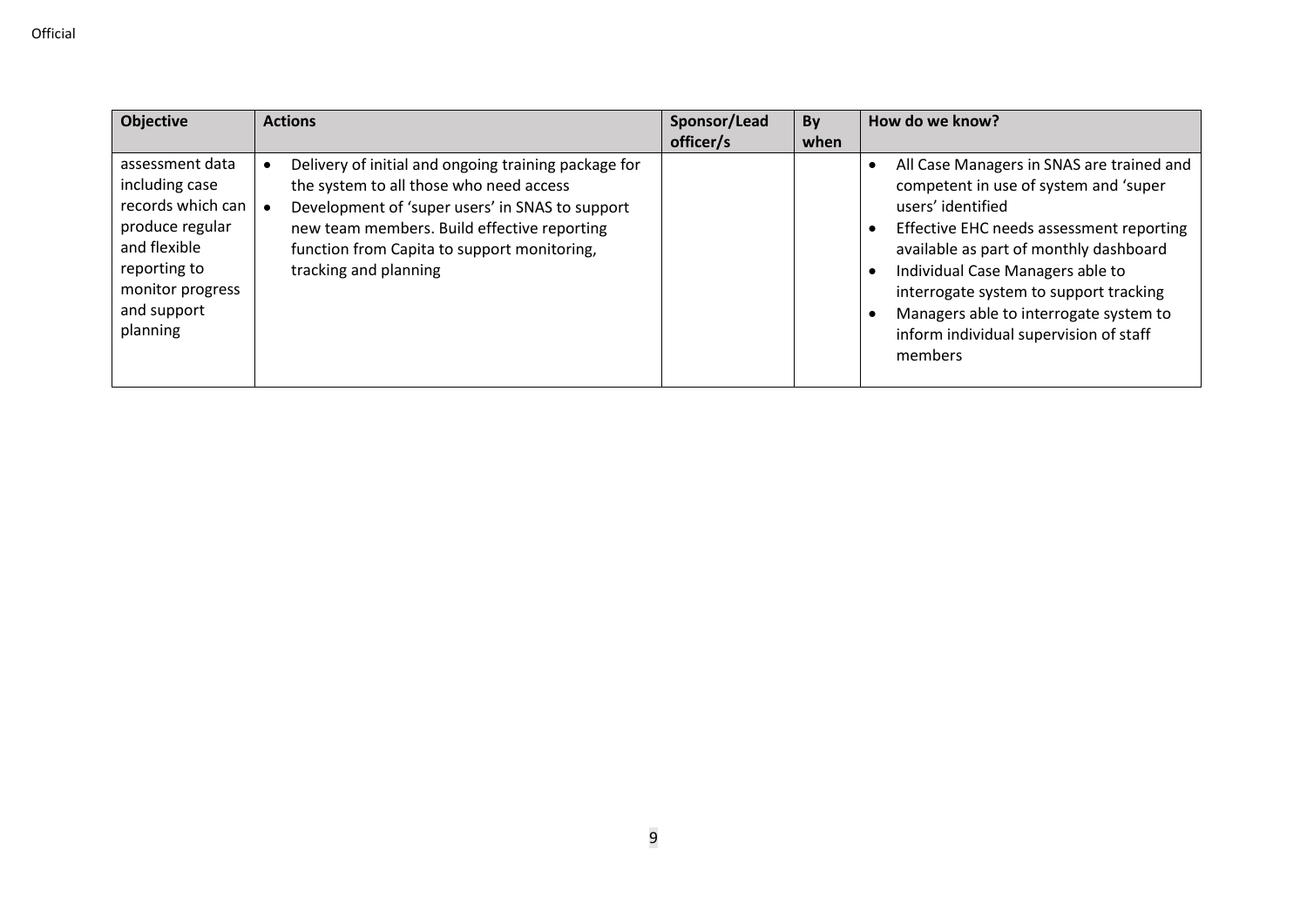| <b>Objective</b>                                                                                                                                         | <b>Actions</b>                                                                                                                                                                                                                                                            | Sponsor/Lead<br>officer/s | <b>By</b><br>when | How do we know?                                                                                                                                                                                                                                                                                                                                                            |
|----------------------------------------------------------------------------------------------------------------------------------------------------------|---------------------------------------------------------------------------------------------------------------------------------------------------------------------------------------------------------------------------------------------------------------------------|---------------------------|-------------------|----------------------------------------------------------------------------------------------------------------------------------------------------------------------------------------------------------------------------------------------------------------------------------------------------------------------------------------------------------------------------|
| assessment data<br>including case<br>records which can<br>produce regular<br>and flexible<br>reporting to<br>monitor progress<br>and support<br>planning | Delivery of initial and ongoing training package for<br>the system to all those who need access<br>Development of 'super users' in SNAS to support<br>new team members. Build effective reporting<br>function from Capita to support monitoring,<br>tracking and planning |                           |                   | All Case Managers in SNAS are trained and<br>competent in use of system and 'super<br>users' identified<br>Effective EHC needs assessment reporting<br>available as part of monthly dashboard<br>Individual Case Managers able to<br>interrogate system to support tracking<br>Managers able to interrogate system to<br>inform individual supervision of staff<br>members |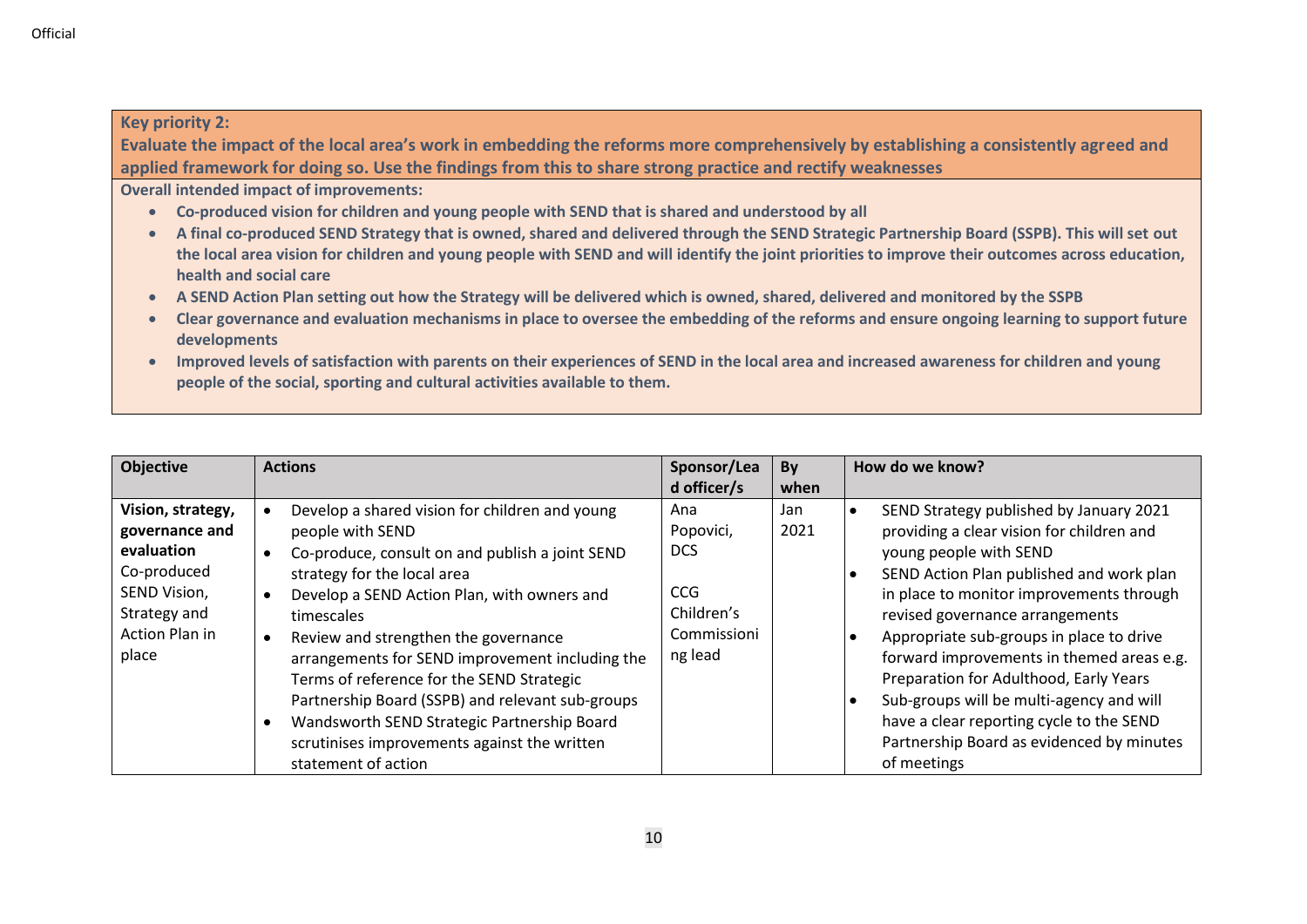#### **Key priority 2:**

**Evaluate the impact of the local area's work in embedding the reforms more comprehensively by establishing a consistently agreed and applied framework for doing so. Use the findings from this to share strong practice and rectify weaknesses**

**Overall intended impact of improvements:**

- **Co-produced vision for children and young people with SEND that is shared and understood by all**
- **A final co-produced SEND Strategy that is owned, shared and delivered through the SEND Strategic Partnership Board (SSPB). This will set out the local area vision for children and young people with SEND and will identify the joint priorities to improve their outcomes across education, health and social care**
- **A SEND Action Plan setting out how the Strategy will be delivered which is owned, shared, delivered and monitored by the SSPB**
- **Clear governance and evaluation mechanisms in place to oversee the embedding of the reforms and ensure ongoing learning to support future developments**
- **Improved levels of satisfaction with parents on their experiences of SEND in the local area and increased awareness for children and young people of the social, sporting and cultural activities available to them.**

| <b>Actions</b>                                                                                                                                                                                                                                                                                                                                                                                                                                                                                               | Sponsor/Lea                                                                   | <b>By</b>   | How do we know?                                                                                                                                                                                                                                                                                                                                                                                                                                                                                                                  |
|--------------------------------------------------------------------------------------------------------------------------------------------------------------------------------------------------------------------------------------------------------------------------------------------------------------------------------------------------------------------------------------------------------------------------------------------------------------------------------------------------------------|-------------------------------------------------------------------------------|-------------|----------------------------------------------------------------------------------------------------------------------------------------------------------------------------------------------------------------------------------------------------------------------------------------------------------------------------------------------------------------------------------------------------------------------------------------------------------------------------------------------------------------------------------|
|                                                                                                                                                                                                                                                                                                                                                                                                                                                                                                              | d officer/s                                                                   | when        |                                                                                                                                                                                                                                                                                                                                                                                                                                                                                                                                  |
| Develop a shared vision for children and young<br>people with SEND<br>Co-produce, consult on and publish a joint SEND<br>strategy for the local area<br>Develop a SEND Action Plan, with owners and<br>timescales<br>Review and strengthen the governance<br>arrangements for SEND improvement including the<br>Terms of reference for the SEND Strategic<br>Partnership Board (SSPB) and relevant sub-groups<br>Wandsworth SEND Strategic Partnership Board<br>scrutinises improvements against the written | Ana<br>Popovici,<br><b>DCS</b><br>CCG<br>Children's<br>Commissioni<br>ng lead | Jan<br>2021 | SEND Strategy published by January 2021<br>providing a clear vision for children and<br>young people with SEND<br>SEND Action Plan published and work plan<br>in place to monitor improvements through<br>revised governance arrangements<br>Appropriate sub-groups in place to drive<br>forward improvements in themed areas e.g.<br>Preparation for Adulthood, Early Years<br>Sub-groups will be multi-agency and will<br>have a clear reporting cycle to the SEND<br>Partnership Board as evidenced by minutes<br>of meetings |
|                                                                                                                                                                                                                                                                                                                                                                                                                                                                                                              | statement of action                                                           |             |                                                                                                                                                                                                                                                                                                                                                                                                                                                                                                                                  |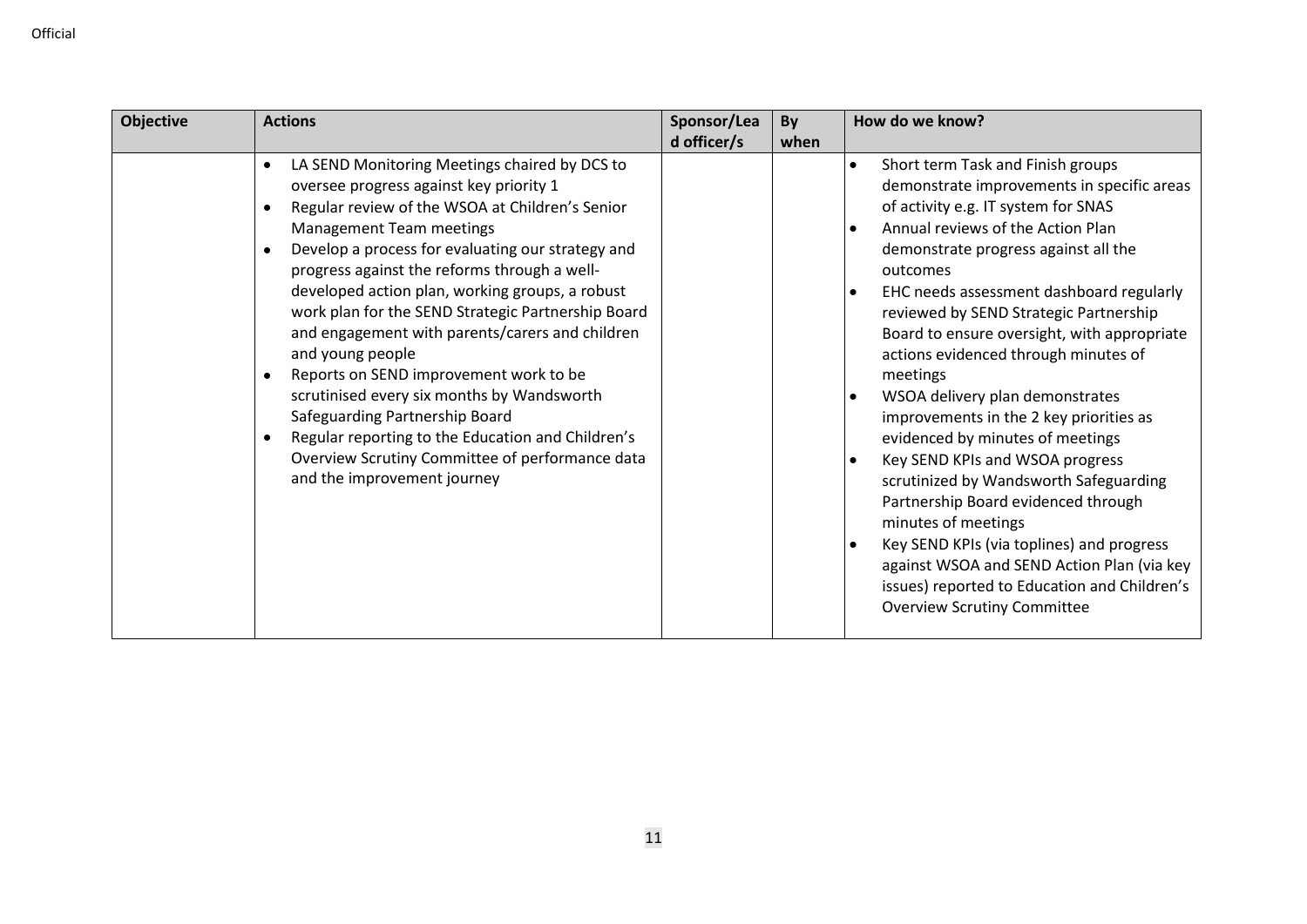| <b>Objective</b> | <b>Actions</b>                                                                                                                                                                                                                                                                                                                                                                                                                                                                                                                                                                                                                                                                                                                                          | Sponsor/Lea | By   | How do we know?                                                                                                                                                                                                                                                                                                                                                                                                                                                                                                                                                                                                                                                                                                                                                                                                                                        |
|------------------|---------------------------------------------------------------------------------------------------------------------------------------------------------------------------------------------------------------------------------------------------------------------------------------------------------------------------------------------------------------------------------------------------------------------------------------------------------------------------------------------------------------------------------------------------------------------------------------------------------------------------------------------------------------------------------------------------------------------------------------------------------|-------------|------|--------------------------------------------------------------------------------------------------------------------------------------------------------------------------------------------------------------------------------------------------------------------------------------------------------------------------------------------------------------------------------------------------------------------------------------------------------------------------------------------------------------------------------------------------------------------------------------------------------------------------------------------------------------------------------------------------------------------------------------------------------------------------------------------------------------------------------------------------------|
|                  |                                                                                                                                                                                                                                                                                                                                                                                                                                                                                                                                                                                                                                                                                                                                                         | d officer/s | when |                                                                                                                                                                                                                                                                                                                                                                                                                                                                                                                                                                                                                                                                                                                                                                                                                                                        |
|                  | LA SEND Monitoring Meetings chaired by DCS to<br>oversee progress against key priority 1<br>Regular review of the WSOA at Children's Senior<br>Management Team meetings<br>Develop a process for evaluating our strategy and<br>$\bullet$<br>progress against the reforms through a well-<br>developed action plan, working groups, a robust<br>work plan for the SEND Strategic Partnership Board<br>and engagement with parents/carers and children<br>and young people<br>Reports on SEND improvement work to be<br>$\bullet$<br>scrutinised every six months by Wandsworth<br>Safeguarding Partnership Board<br>Regular reporting to the Education and Children's<br>Overview Scrutiny Committee of performance data<br>and the improvement journey |             |      | Short term Task and Finish groups<br>demonstrate improvements in specific areas<br>of activity e.g. IT system for SNAS<br>Annual reviews of the Action Plan<br>demonstrate progress against all the<br>outcomes<br>EHC needs assessment dashboard regularly<br>reviewed by SEND Strategic Partnership<br>Board to ensure oversight, with appropriate<br>actions evidenced through minutes of<br>meetings<br>WSOA delivery plan demonstrates<br>improvements in the 2 key priorities as<br>evidenced by minutes of meetings<br>Key SEND KPIs and WSOA progress<br>scrutinized by Wandsworth Safeguarding<br>Partnership Board evidenced through<br>minutes of meetings<br>Key SEND KPIs (via toplines) and progress<br>against WSOA and SEND Action Plan (via key<br>issues) reported to Education and Children's<br><b>Overview Scrutiny Committee</b> |